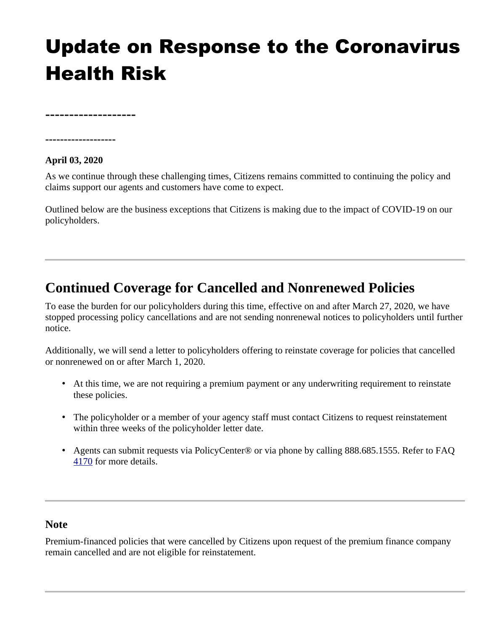# Update on Response to the Coronavirus Health Risk

**-------------------**

### **-------------------**

#### **April 03, 2020**

As we continue through these challenging times, Citizens remains committed to continuing the policy and claims support our agents and customers have come to expect.

Outlined below are the business exceptions that Citizens is making due to the impact of COVID-19 on our policyholders.

# **Continued Coverage for Cancelled and Nonrenewed Policies**

To ease the burden for our policyholders during this time, effective on and after March 27, 2020, we have stopped processing policy cancellations and are not sending nonrenewal notices to policyholders until further notice.

Additionally, we will send a letter to policyholders offering to reinstate coverage for policies that cancelled or nonrenewed on or after March 1, 2020.

- At this time, we are not requiring a premium payment or any underwriting requirement to reinstate these policies.
- The policyholder or a member of your agency staff must contact Citizens to request reinstatement within three weeks of the policyholder letter date.
- Agents can submit requests via PolicyCenter® or via phone by calling 888.685.1555. Refer to FAQ [4170](https://www.citizensfla.com/kb-search?articleId=%204170) for more details.

#### **Note**

Premium-financed policies that were cancelled by Citizens upon request of the premium finance company remain cancelled and are not eligible for reinstatement.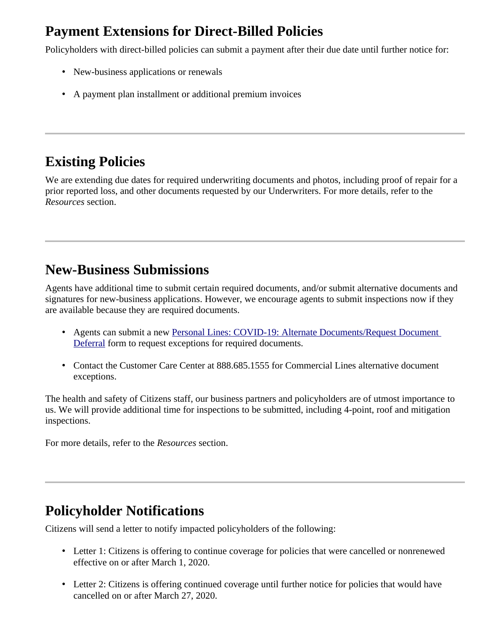## **Payment Extensions for Direct-Billed Policies**

Policyholders with direct-billed policies can submit a payment after their due date until further notice for:

- New-business applications or renewals
- A payment plan installment or additional premium invoices

# **Existing Policies**

We are extending due dates for required underwriting documents and photos, including proof of repair for a prior reported loss, and other documents requested by our Underwriters. For more details, refer to the *Resources* section.

## **New-Business Submissions**

Agents have additional time to submit certain required documents, and/or submit alternative documents and signatures for new-business applications. However, we encourage agents to submit inspections now if they are available because they are required documents.

- Agents can submit a new [Personal Lines: COVID-19: Alternate Documents/Request Document](https://training.citizensfla.com/lms/Documents/COVID-19_ReqDocAlt_DefReq.pdf)  [Deferral](https://training.citizensfla.com/lms/Documents/COVID-19_ReqDocAlt_DefReq.pdf) form to request exceptions for required documents.
- Contact the Customer Care Center at 888.685.1555 for Commercial Lines alternative document exceptions.

The health and safety of Citizens staff, our business partners and policyholders are of utmost importance to us. We will provide additional time for inspections to be submitted, including 4-point, roof and mitigation inspections.

For more details, refer to the *Resources* section.

# **Policyholder Notifications**

Citizens will send a letter to notify impacted policyholders of the following:

- Letter 1: Citizens is offering to continue coverage for policies that were cancelled or nonrenewed effective on or after March 1, 2020.
- Letter 2: Citizens is offering continued coverage until further notice for policies that would have cancelled on or after March 27, 2020.